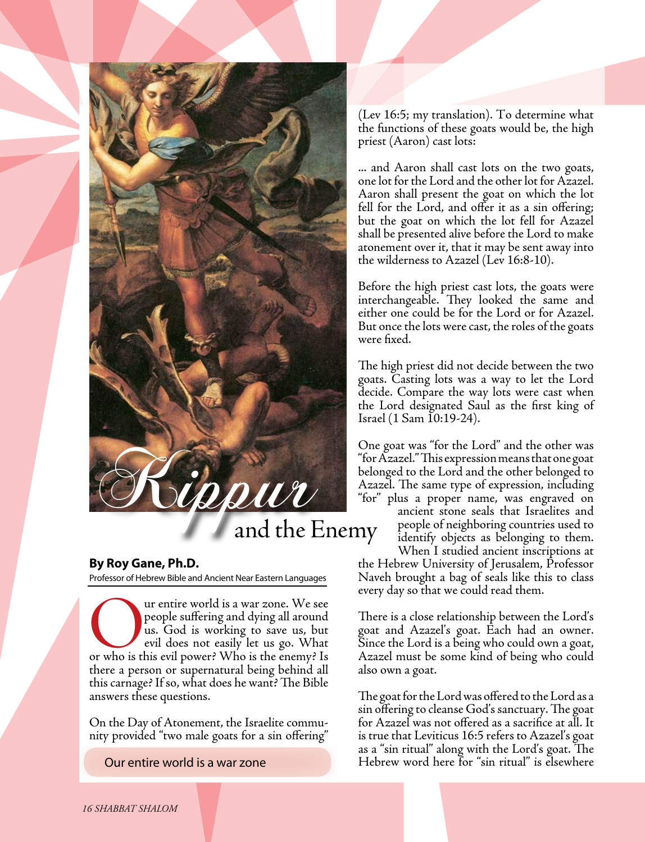

## **By Roy Gane, Ph.D.**

Professor of Hebrew Bible and Ancient Near Eastern Languages

The world is a war zone. We see<br>people suffering and dying all around<br>us. God is working to save us, but<br>evil does not easily let us go. What<br>or who is this evil power? Who is the enemy? Is people suffering and dying all around us. God is working to save us, but evil does not easily let us go. What there a person or supernatural being behind all thiscarnage? If so, what does he want?The Bible answers these questions.

On the Day of Atonement, the Israelite community provided "two male goats for a sin offering"

(Lev 16:5; my translation). To determine what the functions of these goats would be, the high priest (Aaron) cast lots:

... and Aaron shall cast lots on the two goats, one lot for the Lord and the other lot for Azazel. Aaron shall present the goat on which the lot fell for the Lord, and offer it as a sin offering; but the goat on which the lot fell for Azazel shall be presented alive before the Lord to make atonement over it, that it may be sent away into the wilderness to Azazel (Lev 16:8-10).

Before the high priest cast lots, the goats were interchangeable. They looked the same and either one could be for the Lord or for Azazel. But once the lots were cast, the roles of the goats were fixed.

The high priest did not decide between the two goats. Casting lots was a way to let the Lord decide. Compare the way lots were cast when the Lord designated Saul as the first king of Israel (1 Sam 10:19-24).

One goat was "for the Lord" and the other was "for Azazel." This expression means that one goat belonged to the Lord and the other belonged to Azazel. The same type of expression, including

"for" plus a proper name, was engraved on ancient stone seals that Israelites and people of neighboring countries used to identify objects as belonging to them. When I studied ancient inscriptions at

the Hebrew University of Jerusalem, Professor Naveh brought a bag of seals like this to class every day so that we could read them.

There is a close relationship between the Lord's goat and Azazel's goat. Each had an owner. Since the Lord is a being who could own a goat, Azazel must be some kind of being who could also own a goat.

The goat for the Lord was offered to the Lord as a sin offering to cleanse God's sanctuary. The goat for Azazel was not offered as a sacrifice at all. It is true that Leviticus 16:5 refers to Azazel's goat as a "sin ritual" along with the Lord's goat. The Our entire world is a war zone Hebrew word here for "sin ritual" is elsewhere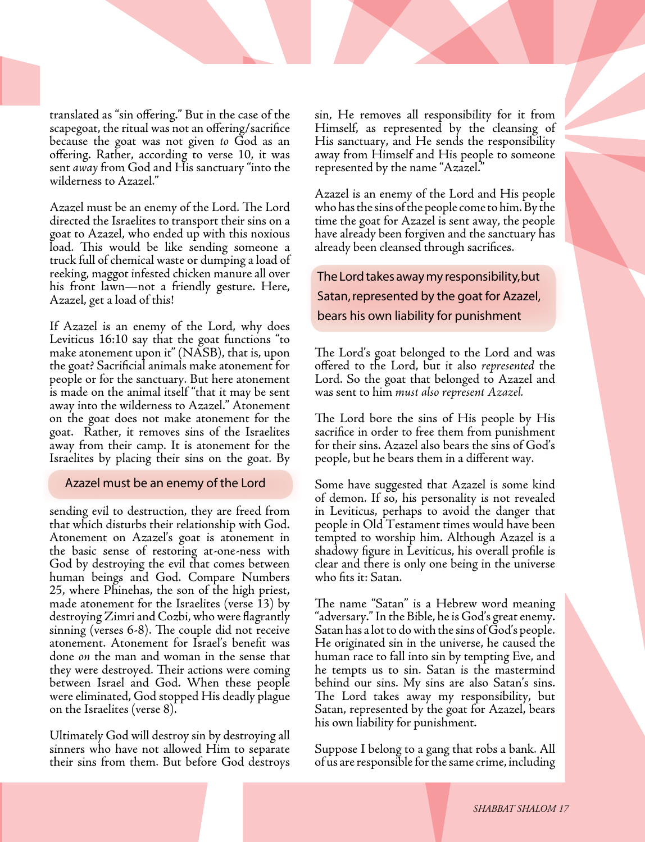translated as "sin offering." But in the case of the scapegoat, the ritual was not an offering/sacrifice because the goat was not given *to* God as an offering. Rather, according to verse 10, it was sent *away* from God and His sanctuary "into the wilderness to Azazel."

Azazel must be an enemy of the Lord. The Lord directed the Israelites to transport their sins on a goat to Azazel, who ended up with this noxious load. This would be like sending someone a truck full of chemical waste or dumping a load of reeking, maggot infested chicken manure all over his front lawn—not a friendly gesture. Here, Azazel, get a load of this!

If Azazel is an enemy of the Lord, why does Leviticus 16:10 say that the goat functions "to make atonement upon it" (NASB), that is, upon the goat? Sacrificial animals make atonement for people or for the sanctuary. But here atonement is made on the animal itself "that it may be sent away into the wilderness to Azazel." Atonement on the goat does not make atonement for the goat. Rather, it removes sins of the Israelites away from their camp. It is atonement for the Israelites by placing their sins on the goat. By

## Azazel must be an enemy of the Lord

sending evil to destruction, they are freed from that which disturbs their relationship with God. Atonement on Azazel's goat is atonement in the basic sense of restoring at-one-ness with God by destroying the evil that comes between human beings and God. Compare Numbers 25, where Phinehas, the son of the high priest, made atonement for the Israelites (verse 13) by destroying Zimri andCozbi, who were flagrantly sinning (verses 6-8). The couple did not receive atonement. Atonement for Israel's benefit was done *on* the man and woman in the sense that they were destroyed. Their actions were coming between Israel and God. When these people were eliminated, God stopped His deadly plague on the Israelites (verse 8).

Ultimately God will destroy sin by destroying all sinners who have not allowed Him to separate their sins from them. But before God destroys sin, He removes all responsibility for it from Himself, as represented by the cleansing of His sanctuary, and He sends the responsibility away from Himself and His people to someone represented by the name "Azazel."

Azazel is an enemy of the Lord and His people who has the sins of the people come to him. By the time the goat for Azazel is sent away, the people have already been forgiven and the sanctuary has already been cleansed through sacrifices.

The Lord takes away my responsibility, but Satan, represented by the goat for Azazel, bears his own liability for punishment

The Lord's goat belonged to the Lord and was offered to the Lord, but it also *represented* the Lord. So the goat that belonged to Azazel and was sent to him *must also represent Azazel.* 

The Lord bore the sins of His people by His sacrifice in order to free them from punishment for their sins. Azazel also bears the sins of God's people, but he bears them in a different way.

Some have suggested that Azazel is some kind of demon. If so, his personality is not revealed in Leviticus, perhaps to avoid the danger that people in Old Testament times would have been tempted to worship him. Although Azazel is a shadowy figure in Leviticus, his overall profile is clear and there is only one being in the universe who fits it: Satan.

The name "Satan" is a Hebrew word meaning "adversary." In the Bible, he is God's great enemy. " Satan has a lot to do with the sins of God's people. He originated sin in the universe, he caused the human race to fall into sin by tempting Eve, and he tempts us to sin. Satan is the mastermind behind our sins. My sins are also Satan's sins. The Lord takes away my responsibility, but Satan, represented by the goat for Azazel, bears his own liability for punishment.

Suppose I belong to a gang that robs a bank. All of us are responsible for the same crime, including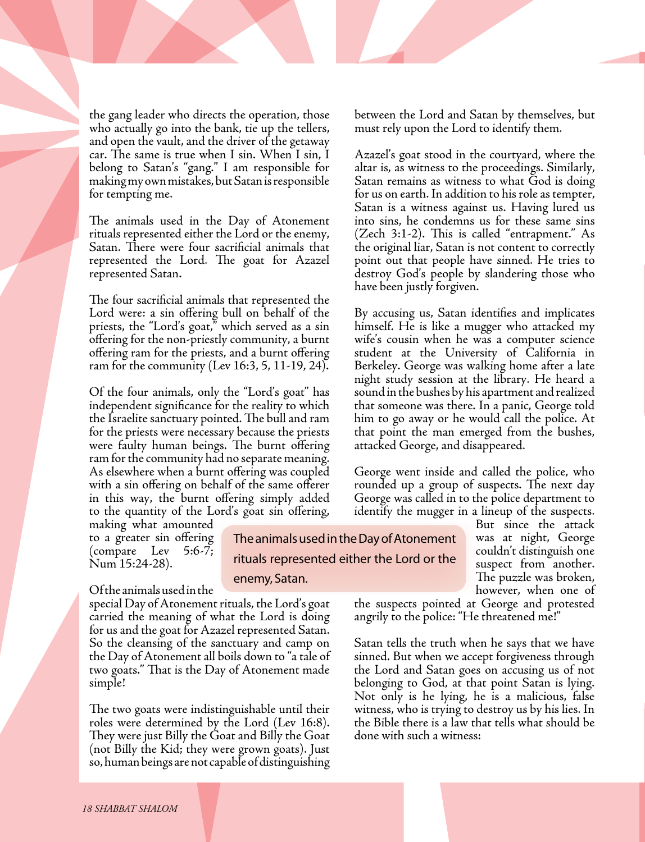the gang leader who directs the operation, those who actually go into the bank, tie up the tellers, and open the vault, and the driver of the getaway car. The same is true when I sin. When I sin, I belong to Satan's "gang." I am responsible for makingmyownmistakes,butSatanisresponsible for tempting me.

The animals used in the Day of Atonement rituals represented either the Lord or the enemy, Satan. There were four sacrificial animals that represented the Lord. The goat for Azazel represented Satan.

The four sacrificial animals that represented the Lord were: a sin offering bull on behalf of the priests, the "Lord's goat," which served as a sin offering for the non-priestly community, a burnt offering ram for the priests, and a burnt offering ram for the community (Lev 16:3, 5, 11-19, 24).

Of the four animals, only the "Lord's goat" has independent significance for the reality to which the Israelite sanctuary pointed. The bull and ram for the priests were necessary because the priests were faulty human beings. The burnt offering ram for the community had no separate meaning. As elsewhere when a burnt offering was coupled with a sin offering on behalf of the same offerer in this way, the burnt offering simply added to the quantity of the Lord's goat sin offering,

making what amounted to a greater sin offering (compare Lev 5:6-7; Num 15:24-28).

Ofthe animalsusedinthe

special Day of Atonement rituals, the Lord's goat carried the meaning of what the Lord is doing for us and the goat for Azazel represented Satan. So the cleansing of the sanctuary and camp on the Day of Atonement all boils down to "a tale of two goats." That is the Day of Atonement made simple!

The two goats were indistinguishable until their roles were determined by the Lord (Lev 16:8). They were just Billy the Goat and Billy the Goat (not Billy the Kid; they were grown goats). Just so,humanbeings arenotcapableofdistinguishing

The animals used in the Day of Atonement rituals represented either the Lord or the enemy, Satan.

between the Lord and Satan by themselves, but must rely upon the Lord to identify them.

Azazel's goat stood in the courtyard, where the altar is, as witness to the proceedings. Similarly, Satan remains as witness to what God is doing for us on earth. In addition to his role as tempter, Satan is a witness against us. Having lured us into sins, he condemns us for these same sins (Zech 3:1-2). This is called "entrapment." As the original liar, Satan is not content to correctly point out that people have sinned. He tries to destroy God's people by slandering those who have been justly forgiven.

By accusing us, Satan identifies and implicates himself. He is like a mugger who attacked my wife's cousin when he was a computer science student at the University of California in Berkeley. George was walking home after a late night study session at the library. He heard a sound in the bushes byhis apartment and realized that someone was there. In a panic, George told him to go away or he would call the police. At that point the man emerged from the bushes, attacked George, and disappeared.

George went inside and called the police, who rounded up a group of suspects. The next day George was called in to the police department to identify the mugger in a lineup of the suspects.

But since the attack was at night, George couldn't distinguish one suspect from another. The puzzle was broken, however, when one of

the suspects pointed at George and protested angrily to the police: "He threatened me!"

Satan tells the truth when he says that we have sinned. But when we accept forgiveness through the Lord and Satan goes on accusing us of not belonging to God, at that point Satan is lying. Not only is he lying, he is a malicious, false witness, who is trying to destroy us by his lies. In the Bible there is a law that tells what should be done with such a witness: